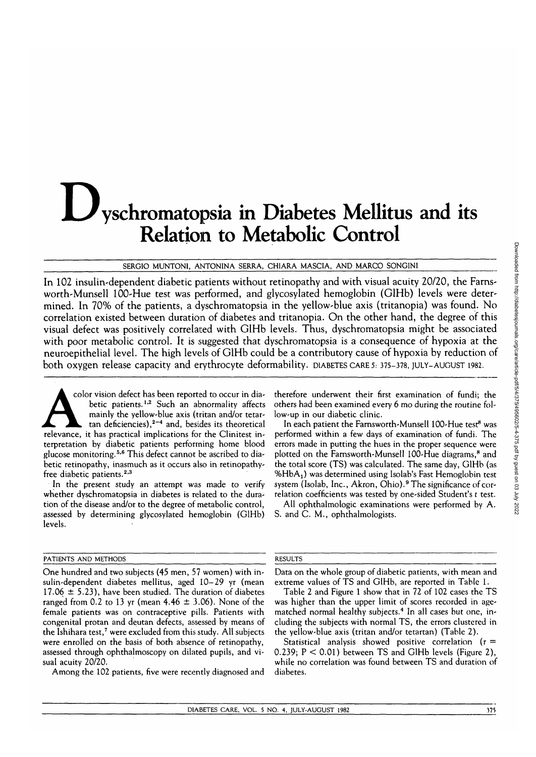# **Dyschromatopsia in Diabetes Mellitus and its Relation to Metabolic Control**

SERGIO MUNTONI, ANTONINA SERRA, CHIARA MASCIA, AND MARCO SONG1NI

In 102 insulin-dependent diabetic patients without retinopathy and with visual acuity 20/20, the Farnsworth-Munsell 100-Hue test was performed, and glycosylated hemoglobin (GlHb) levels were determined. In 70% of the patients, a dyschromatopsia in the yellow-blue axis (tritanopia) was found. No correlation existed between duration of diabetes and tritanopia. On the other hand, the degree of this visual defect was positively correlated with GlHb levels. Thus, dyschromatopsia might be associated with poor metabolic control. It is suggested that dyschromatopsia is a consequence of hypoxia at the neuroepithelial level. The high levels of GlHb could be a contributory cause of hypoxia by reduction of both oxygen release capacity and erythrocyte deformability. DIABETES CARE 5: 375-378, JULY-AUGUST 1982.

color vision defect has been reported to occur in diabetic patients.<sup>1,2</sup> Such an abnormality affects mainly the yellow-blue axis (tritan and/or tetartan deficiencies),<sup>2-4</sup> and, besides its theoretical relevance, it has practical implications for the Clinitest interpretation by diabetic patients performing home blood glucose monitoring.<sup>5,6</sup> This defect cannot be ascribed to diabetic retinopathy, inasmuch as it occurs also in retinopathyfree diabetic patients.<sup>2,3</sup>

In the present study an attempt was made to verify whether dyschromatopsia in diabetes is related to the duration of the disease and/or to the degree of metabolic control, assessed by determining glycosylated hemoglobin (GlHb) levels.

## PATIENTS AND METHODS RESULTS

One hundred and two subjects (45 men, 57 women) with insulin-dependent diabetes mellitus, aged 10-29 yr (mean 17.06  $\pm$  5.23), have been studied. The duration of diabetes ranged from 0.2 to 13 yr (mean  $4.46 \pm 3.06$ ). None of the female patients was on contraceptive pills. Patients with congenital protan and deutan defects, assessed by means of the Ishihara test,<sup>7</sup> were excluded from this study. All subjects were enrolled on the basis of both absence of retinopathy, assessed through ophthalmoscopy on dilated pupils, and visual acuity 20/20.

Among the 102 patients, five were recently diagnosed and

therefore underwent their first examination of fundi; the others had been examined every 6 mo during the routine follow-up in our diabetic clinic.

In each patient the Farnsworth-Munsell 100-Hue test<sup>8</sup> was performed within a few days of examination of fundi. The errors made in putting the hues in the proper sequence were plotted on the Farnsworth-Munsell 100-Hue diagrams,<sup>8</sup> and the total score (TS) was calculated. The same day, GlHb (as %HbAj) was determined using Isolab's Fast Hemoglobin test system (Isolab, Inc., Akron, Ohio).<sup>9</sup> The significance of correlation coefficients was tested by one-sided Student's t test.

All ophthalmologic examinations were performed by A. S. and C. M., ophthalmologists.

Data on the whole group of diabetic patients, with mean and extreme values of TS and GlHb, are reported in Table 1.

Table 2 and Figure 1 show that in 72 of 102 cases the TS was higher than the upper limit of scores recorded in agematched normal healthy subjects.<sup>4</sup> In all cases but one, including the subjects with normal TS, the errors clustered in the yellow-blue axis (tritan and/or tetartan) (Table 2).

Statistical analysis showed positive correlation ( $r =$ 0.239; P < 0.01) between TS and GlHb levels (Figure 2), while no correlation was found between TS and duration of diabetes.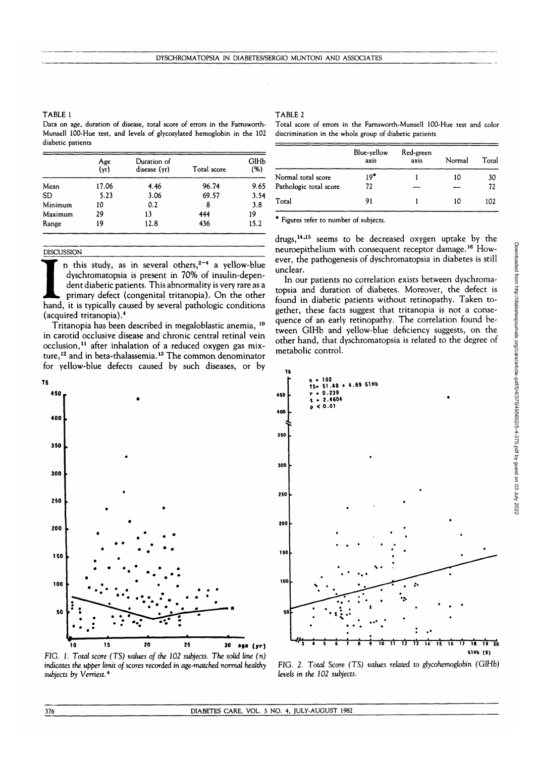TABLE 1 Data on age, duration of disease, total score of errors in the Farnsworth-Munsell 100-Hue test, and levels of glycosylated hemoglobin in the 102 diabetic patients

|           | Age<br>(vr) | Duration of<br>disease (yr) | Total score | GIHb<br>(%) |
|-----------|-------------|-----------------------------|-------------|-------------|
| Mean      | 17.06       | 4.46                        | 96.74       | 9.65        |
| <b>SD</b> | 5.23        | 3.06                        | 69.57       | 3.54        |
| Minimum   | 10          | 0.2                         | 8           | 3.8         |
| Maximum   | 29          | 13                          | 444         | 19          |
| Range     | 19          | 12.8                        | 436         | 15.2        |

## TABLE 2

Total score of errors in the Farnsworth-Munsell 100-Hue test and color discrimination in the whole group of diabetic patients

|                        | Blue-yellow<br>axis | Red-green<br>axis | Normal | Total |
|------------------------|---------------------|-------------------|--------|-------|
| Normal total score     | 19*                 |                   | 10     | 30    |
| Pathologic total score | 72                  |                   |        | 72    |
| Total                  | 91                  |                   | 10     | 102   |

\* Figures refer to number of subjects.

DISCUSSION<br>
n th<br>
dysc<br>
dent<br>
prim<br>
hand, it is n this study, as in several others, $2-4$  a yellow-blue dyschromatopsia is present in 70% of insulin-dependent diabetic patients. This abnormality is very rare as a primary defect (congenital tritanopia). On the other hand, it is typically caused by several pathologic conditions (acquired tritanopia).<sup>4</sup>

Tritanopia has been described in megaloblastic anemia, <sup>10</sup> in carotid occlusive disease and chronic central retinal vein occlusion,<sup>11</sup> after inhalation of a reduced oxygen gas mixture,<sup>12</sup> and in beta-thalassemia.<sup>13</sup> The common denominator for yellow-blue defects caused by such diseases, or by



*FIG. I. Total score (TS) values of the 102 subjects. The solid line (n) indicates the upper limit of scores recorded in age-matched normal healthy subjects by Verriest.4*

drugs,<sup>14,15</sup> seems to be decreased oxygen uptake by the neuroepithelium with consequent receptor damage.<sup>16</sup> However, the pathogenesis of dyschromatopsia in diabetes is still unclear.

In our patients no correlation exists between dyschromatopsia and duration of diabetes. Moreover, the defect is found in diabetic patients without retinopathy. Taken together, these facts suggest that tritanopia is not a consequence of an early retinopathy. The correlation found between GlHb and yellow-blue deficiency suggests, on the other hand, that dyschromatopsia is related to the degree of metabolic control.



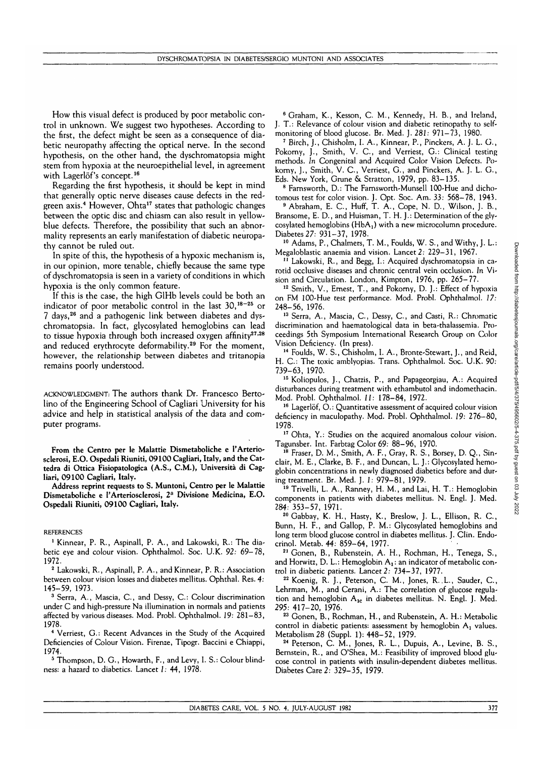6 Graham, K., Kesson, C. M., Kennedy, H. B., and Ireland,

How this visual defect is produced by poor metabolic control in unknown. We suggest two hypotheses. According to the first, the defect might be seen as a consequence of diabetic neuropathy affecting the optical nerve. In the second hypothesis, on the other hand, the dyschromatopsia might stem from hypoxia at the neuroepithelial level, in agreement with Lagerlöf's concept.<sup>16</sup>

Regarding the first hypothesis, it should be kept in mind that generally optic nerve diseases cause defects in the redgreen axis.<sup>4</sup> However, Ohta<sup>17</sup> states that pathologic changes between the optic disc and chiasm can also result in yellowblue defects. Therefore, the possibility that such an abnormality represents an early manifestation of diabetic neuropathy cannot be ruled out.

In spite of this, the hypothesis of a hypoxic mechanism is, in our opinion, more tenable, chiefly because the same type of dyschromatopsia is seen in a variety of conditions in which hypoxia is the only common feature.

If this is the case, the high GlHb levels could be both an indicator of poor metabolic control in the last 30,18~25 or 7 days,<sup>26</sup> and a pathogenic link between diabetes and dyschromatopsia. In fact, glycosylated hemoglobins can lead to tissue hypoxia through both increased oxygen affinity<sup>27,28</sup> and reduced erythrocyte deformability.<sup>29</sup> For the moment, however, the relationship between diabetes and tritanopia remains poorly understood.

ACKNOWLEDGMENT: The authors thank Dr. Francesco Bertolino of the Engineering School of Cagliari University for his advice and help in statistical analysis of the data and computer programs.

From the Centro per le Malattie Dismetaboliche e PArteriosclerosi, E.O. Ospedali Riuniti, 09100 Cagliari, Italy, and the Cattedra di Ottica Fisiopatologica (A.S., C.M.), Università di Cagliari, 09100 Cagliari, Italy.

Address reprint requests to S. Muntoni, Centro per le Malattie Dismetaboliche e l'Arteriosclerosi, 2<sup>a</sup> Divisione Medicina, E.O. Ospedali Riuniti, 09100 Cagliari, Italy.

### REFERENCES

1 Kinnear, P. R., Aspinall, P. A., and Lakowski, R.: The diabetic eye and colour vision. Ophthalmol. Soc. U.K. 92: 69-78, 1972.

2 Lakowski, R., Aspinall, P. A., and Kinnear, P. R.: Association between colour vision losses and diabetes mellitus. Ophthal. Res. *4:* 145-59, 1973.

<sup>3</sup> Serra, A., Mascia, C., and Dessy, C.: Colour discrimination under C and high-pressure Na illumination in normals and patients affected by various diseases. Mod. Probl. Ophthalmol. 19: 281-83, 1978.

 Verriest, G.: Recent Advances in the Study of the Acquired Deficiencies of Colour Vision. Firenze, Tipogr. Baccini e Chiappi, 1974.

5 Thompson, D. G., Howarth, F., and Levy, I. S.: Colour blindness: a hazard to diabetics. Lancet 1: 44, 1978.

J. T.: Relevance of colour vision and diabetic retinopathy to selfmonitoring of blood glucose. Br. Med. J. *281:* 971-73, 1980. <sup>7</sup> Birch, J., Chisholm, I. A., Kinnear, P., Pinckers, A. J. L. G., Pokomy, J., Smith, V. C., and Verriest, G.: Clinical testing methods. *In* Congenital and Acquired Color Vision Defects. Po-

korny, J., Smith, V. C., Verriest, G., and Pinckers, A. J. L. G., Eds. New York, Grune & Stratton, 1979, pp. 83-135.

Farnsworth, D.: The Farnsworth-Munsell 100-Hue and dicho-

tomous test for color vision. J. Opt. Soc. Am. 33: 568–78, 1943.<br><sup>9</sup> Abraham, E. C., Huff, T. A., Cope, N. D., Wilson, J. B., Bransome, E. D., and Huisman, T. H. J.: Determination of the glycosylated hemoglobins (HbA<sub>1</sub>) with a new microcolumn procedure. Diabetes 27: 931-37, 1978.

 Adams, P., Chalmers, T. M., Foulds, W. S., and Withy, J. L: Megaloblastic anaemia and vision. Lancet 2: 229-31, 1967.

 $11$  Lakowski, R., and Begg, I.: Acquired dyschromatopsia in carotid occlusive diseases and chronic central vein occlusion. *In* Vision and Circulation. London, Kimpton, 1976, pp. 265-77.

<sup>12</sup> Smith, V., Ernest, T., and Pokorny, D. J.: Effect of hypoxia on FM 100-Hue test performance. Mod. Probl. Ophthalmol. *17:* 248-56, 1976.

<sup>13</sup> Serra, A., Mascia, C., Dessy, C., and Casti, R.: Chromatic discrimination and haematological data in beta-thalassemia. Proceedings 5th Symposium International Research Group on Color Vision Deficiency. (In press).

<sup>14</sup> Foulds, W. S., Chisholm, I. A., Bronte-Stewart, J., and Reid, H. C.: The toxic amblyopias. Trans. Ophthalmol. Soc. U.K. 90: 739-63, 1970.

<sup>15</sup> Koliopulos, J., Chatzis, P., and Papageorgiau, A.: Acquired disturbances during treatment with ethambutol and indomethacin. Mod. Probl. Ophthalmol. 11: 178-84, 1972.

<sup>16</sup> Lagerlöf, O.: Quantitative assessment of acquired colour vision deficiency in maculopathy. Mod. Probl. Ophthalmol. 19: 276-80, 1978.

<sup>17</sup> Ohta, Y.: Studies on the acquired anomalous colour vision. Tagunsber. Int. Farbtag Color 69: 88-96, 1970.

18 Fraser, D. M., Smith, A. F., Gray, R. S., Borsey, D. Q., Sinclair, M. E., Clarke, B. F., and Duncan, L. J.: Glycosylated hemoglobin concentrations in newly diagnosed diabetics before and during treatment. Br. Med. J. 1: 979-81, 1979.

<sup>19</sup> Trivelli, L. A., Ranney, H. M., and Lai, H. T.: Hemoglobin components in patients with diabetes mellitus. N. Engl. J. Med.

<sup>20</sup> Gabbay, K. H., Hasty, K., Breslow, J. L., Ellison, R. C., Bunn, H. F., and Gallop, P. M.: Glycosylated hemoglobins and long term blood glucose control in diabetes mellitus. J. Clin. Endocrinol. Metab. 44: 859-64, 1977.

<sup>21</sup> Gonen, B., Rubenstein, A. H., Rochman, H., Tenega, S., and Horwitz, D. L.: Hemoglobin  $A_1$ : an indicator of metabolic control in diabetic patients. Lancet 2: 734-37, 1977.

<sup>22</sup> Koenig, R. J., Peterson, C. M., Jones, R. L., Sauder, C., Lehrman, M., and Cerani, A.: The correlation of glucose regulation and hemoglobin  $A_{1c}$  in diabetes mellitus. N. Engl. J. Med. 295: 417-20, 1976. <sup>23</sup>

<sup>23</sup> Gonen, B., Rochman, H., and Rubenstein, A. H.: Metabolic control in diabetic patients: assessment by hemoglobin  $A_1$  values. Metabolism 28 (Suppl. 1): 448-52, 1979.

<sup>24</sup> Peterson, C. M., Jones, R. L., Dupuis, A., Levine, B. S., Bernstein, R., and O'Shea, M.: Feasibility of improved blood glucose control in patients with insulin-dependent diabetes mellitus. Diabetes Care 2: 329-35, 1979.